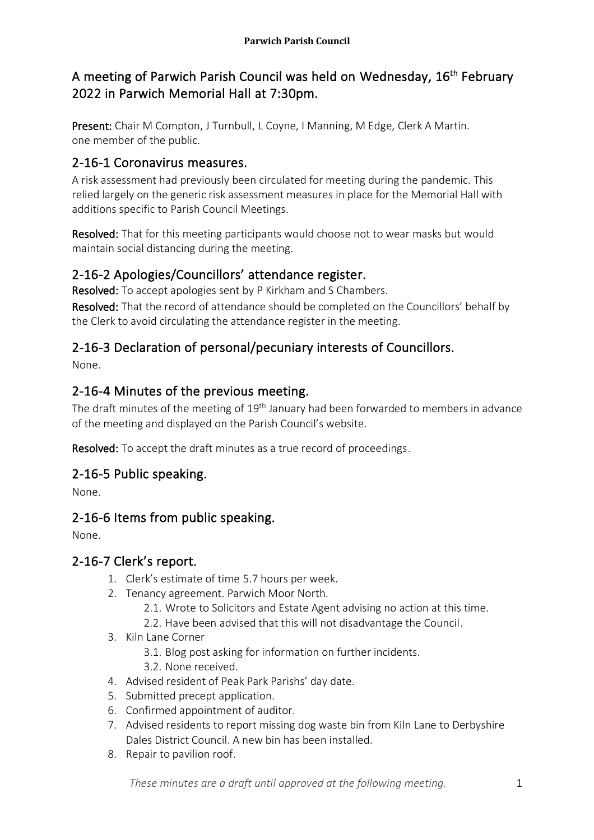# A meeting of Parwich Parish Council was held on Wednesday, 16<sup>th</sup> February 2022 in Parwich Memorial Hall at 7:30pm.

Present: Chair M Compton, J Turnbull, L Coyne, I Manning, M Edge, Clerk A Martin. one member of the public.

# 2-16-1 Coronavirus measures.

A risk assessment had previously been circulated for meeting during the pandemic. This relied largely on the generic risk assessment measures in place for the Memorial Hall with additions specific to Parish Council Meetings.

Resolved: That for this meeting participants would choose not to wear masks but would maintain social distancing during the meeting.

# 2-16-2 Apologies/Councillors' attendance register.

Resolved: To accept apologies sent by P Kirkham and S Chambers.

Resolved: That the record of attendance should be completed on the Councillors' behalf by the Clerk to avoid circulating the attendance register in the meeting.

# 2-16-3 Declaration of personal/pecuniary interests of Councillors.

None.

# 2-16-4 Minutes of the previous meeting.

The draft minutes of the meeting of 19<sup>th</sup> January had been forwarded to members in advance of the meeting and displayed on the Parish Council's website.

Resolved: To accept the draft minutes as a true record of proceedings.

# 2-16-5 Public speaking.

None.

# 2-16-6 Items from public speaking.

None.

# 2-16-7 Clerk's report.

- 1. Clerk's estimate of time 5.7 hours per week.
- 2. Tenancy agreement. Parwich Moor North.
	- 2.1. Wrote to Solicitors and Estate Agent advising no action at this time.
	- 2.2. Have been advised that this will not disadvantage the Council.
- 3. Kiln Lane Corner
	- 3.1. Blog post asking for information on further incidents.
	- 3.2. None received.
- 4. Advised resident of Peak Park Parishs' day date.
- 5. Submitted precept application.
- 6. Confirmed appointment of auditor.
- 7. Advised residents to report missing dog waste bin from Kiln Lane to Derbyshire Dales District Council. A new bin has been installed.
- 8. Repair to pavilion roof.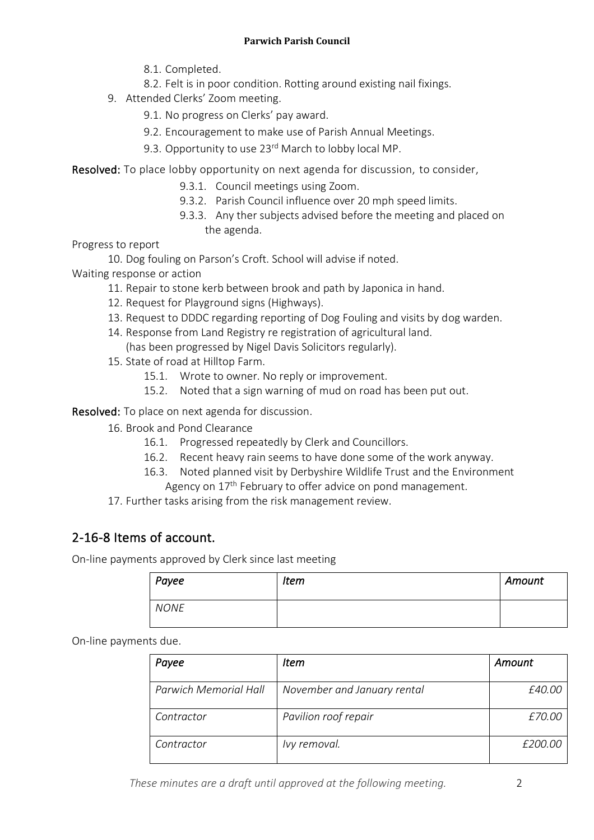- 8.1. Completed.
- 8.2. Felt is in poor condition. Rotting around existing nail fixings.
- 9. Attended Clerks' Zoom meeting.
	- 9.1. No progress on Clerks' pay award.
	- 9.2. Encouragement to make use of Parish Annual Meetings.
	- 9.3. Opportunity to use 23<sup>rd</sup> March to lobby local MP.

Resolved: To place lobby opportunity on next agenda for discussion, to consider,

- 9.3.1. Council meetings using Zoom.
- 9.3.2. Parish Council influence over 20 mph speed limits.
- 9.3.3. Any ther subjects advised before the meeting and placed on the agenda.

Progress to report

10. Dog fouling on Parson's Croft. School will advise if noted.

Waiting response or action

- 11. Repair to stone kerb between brook and path by Japonica in hand.
- 12. Request for Playground signs (Highways).
- 13. Request to DDDC regarding reporting of Dog Fouling and visits by dog warden.
- 14. Response from Land Registry re registration of agricultural land. (has been progressed by Nigel Davis Solicitors regularly).
- 15. State of road at Hilltop Farm.
	- 15.1. Wrote to owner. No reply or improvement.
	- 15.2. Noted that a sign warning of mud on road has been put out.

Resolved: To place on next agenda for discussion.

- 16. Brook and Pond Clearance
	- 16.1. Progressed repeatedly by Clerk and Councillors.
	- 16.2. Recent heavy rain seems to have done some of the work anyway.
	- 16.3. Noted planned visit by Derbyshire Wildlife Trust and the Environment Agency on 17<sup>th</sup> February to offer advice on pond management.
- 17. Further tasks arising from the risk management review.

# 2-16-8 Items of account.

On-line payments approved by Clerk since last meeting

| Payee       | <b>Item</b> | Amount |
|-------------|-------------|--------|
| <b>NONE</b> |             |        |

On-line payments due.

| Payee                 | Item                        | Amount  |
|-----------------------|-----------------------------|---------|
| Parwich Memorial Hall | November and January rental | £40.00  |
| Contractor            | Pavilion roof repair        | £70.00  |
| Contractor            | Ivy removal.                | £200.00 |

*These minutes are a draft until approved at the following meeting.* 2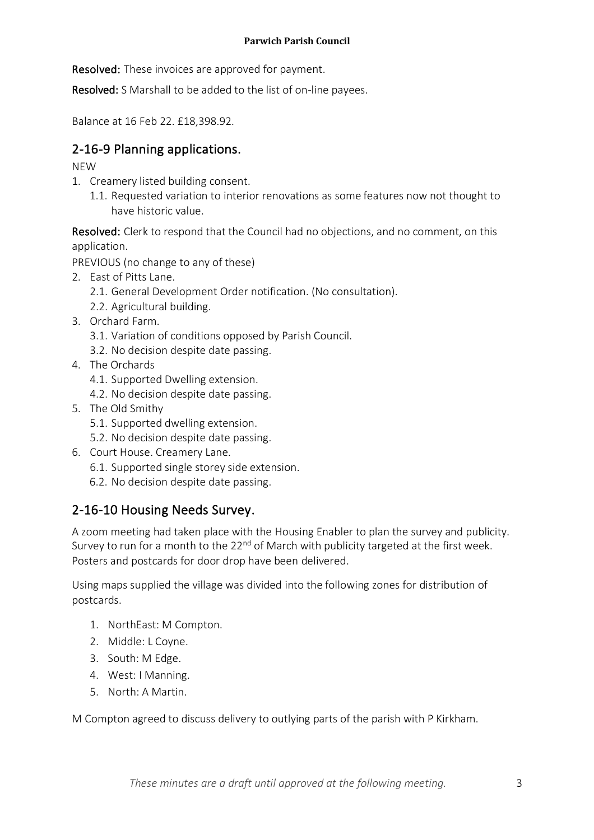**Resolved:** These invoices are approved for payment.

Resolved: S Marshall to be added to the list of on-line payees.

Balance at 16 Feb 22. £18,398.92.

# 2-16-9 Planning applications.

#### NEW

- 1. Creamery listed building consent.
	- 1.1. Requested variation to interior renovations as some features now not thought to have historic value.

Resolved: Clerk to respond that the Council had no objections, and no comment, on this application.

PREVIOUS (no change to any of these)

- 2. East of Pitts Lane.
	- 2.1. General Development Order notification. (No consultation).
	- 2.2. Agricultural building.
- 3. Orchard Farm.
	- 3.1. Variation of conditions opposed by Parish Council.
	- 3.2. No decision despite date passing.
- 4. The Orchards
	- 4.1. Supported Dwelling extension.
	- 4.2. No decision despite date passing.
- 5. The Old Smithy
	- 5.1. Supported dwelling extension.
	- 5.2. No decision despite date passing.
- 6. Court House. Creamery Lane.
	- 6.1. Supported single storey side extension.
	- 6.2. No decision despite date passing.

# 2-16-10 Housing Needs Survey.

A zoom meeting had taken place with the Housing Enabler to plan the survey and publicity. Survey to run for a month to the  $22<sup>nd</sup>$  of March with publicity targeted at the first week. Posters and postcards for door drop have been delivered.

Using maps supplied the village was divided into the following zones for distribution of postcards.

- 1. NorthEast: M Compton.
- 2. Middle: L Coyne.
- 3. South: M Edge.
- 4. West: I Manning.
- 5. North: A Martin.

M Compton agreed to discuss delivery to outlying parts of the parish with P Kirkham.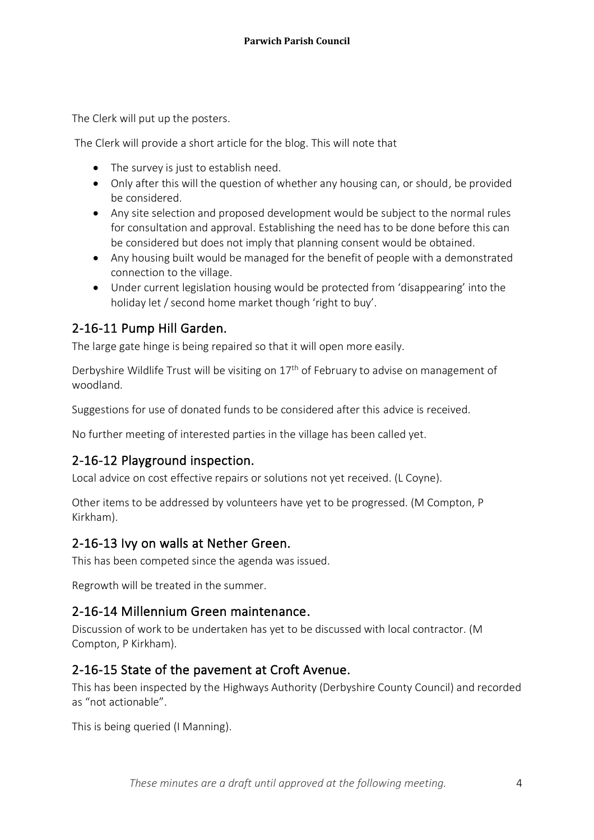The Clerk will put up the posters.

The Clerk will provide a short article for the blog. This will note that

- The survey is just to establish need.
- Only after this will the question of whether any housing can, or should, be provided be considered.
- Any site selection and proposed development would be subject to the normal rules for consultation and approval. Establishing the need has to be done before this can be considered but does not imply that planning consent would be obtained.
- Any housing built would be managed for the benefit of people with a demonstrated connection to the village.
- Under current legislation housing would be protected from 'disappearing' into the holiday let / second home market though 'right to buy'.

### 2-16-11 Pump Hill Garden.

The large gate hinge is being repaired so that it will open more easily.

Derbyshire Wildlife Trust will be visiting on 17th of February to advise on management of woodland.

Suggestions for use of donated funds to be considered after this advice is received.

No further meeting of interested parties in the village has been called yet.

# 2-16-12 Playground inspection.

Local advice on cost effective repairs or solutions not yet received. (L Coyne).

Other items to be addressed by volunteers have yet to be progressed. (M Compton, P Kirkham).

### 2-16-13 Ivy on walls at Nether Green.

This has been competed since the agenda was issued.

Regrowth will be treated in the summer.

### 2-16-14 Millennium Green maintenance.

Discussion of work to be undertaken has yet to be discussed with local contractor. (M Compton, P Kirkham).

# 2-16-15 State of the pavement at Croft Avenue.

This has been inspected by the Highways Authority (Derbyshire County Council) and recorded as "not actionable".

This is being queried (I Manning).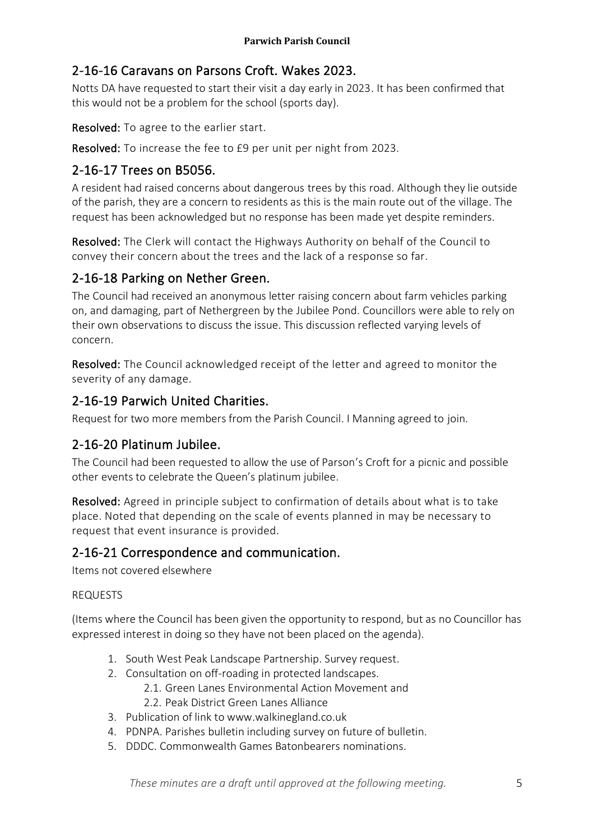# 2-16-16 Caravans on Parsons Croft. Wakes 2023.

Notts DA have requested to start their visit a day early in 2023. It has been confirmed that this would not be a problem for the school (sports day).

Resolved: To agree to the earlier start.

Resolved: To increase the fee to £9 per unit per night from 2023.

# 2-16-17 Trees on B5056.

A resident had raised concerns about dangerous trees by this road. Although they lie outside of the parish, they are a concern to residents as this is the main route out of the village. The request has been acknowledged but no response has been made yet despite reminders.

Resolved: The Clerk will contact the Highways Authority on behalf of the Council to convey their concern about the trees and the lack of a response so far.

# 2-16-18 Parking on Nether Green.

The Council had received an anonymous letter raising concern about farm vehicles parking on, and damaging, part of Nethergreen by the Jubilee Pond. Councillors were able to rely on their own observations to discuss the issue. This discussion reflected varying levels of concern.

Resolved: The Council acknowledged receipt of the letter and agreed to monitor the severity of any damage.

# 2-16-19 Parwich United Charities.

Request for two more members from the Parish Council. I Manning agreed to join.

# 2-16-20 Platinum Jubilee.

The Council had been requested to allow the use of Parson's Croft for a picnic and possible other events to celebrate the Queen's platinum jubilee.

Resolved: Agreed in principle subject to confirmation of details about what is to take place. Noted that depending on the scale of events planned in may be necessary to request that event insurance is provided.

# 2-16-21 Correspondence and communication.

Items not covered elsewhere

#### REQUESTS

(Items where the Council has been given the opportunity to respond, but as no Councillor has expressed interest in doing so they have not been placed on the agenda).

- 1. South West Peak Landscape Partnership. Survey request.
- 2. Consultation on off-roading in protected landscapes.
	- 2.1. Green Lanes Environmental Action Movement and 2.2. Peak District Green Lanes Alliance
- 3. Publication of link to www.walkinegland.co.uk
- 4. PDNPA. Parishes bulletin including survey on future of bulletin.
- 5. DDDC. Commonwealth Games Batonbearers nominations.